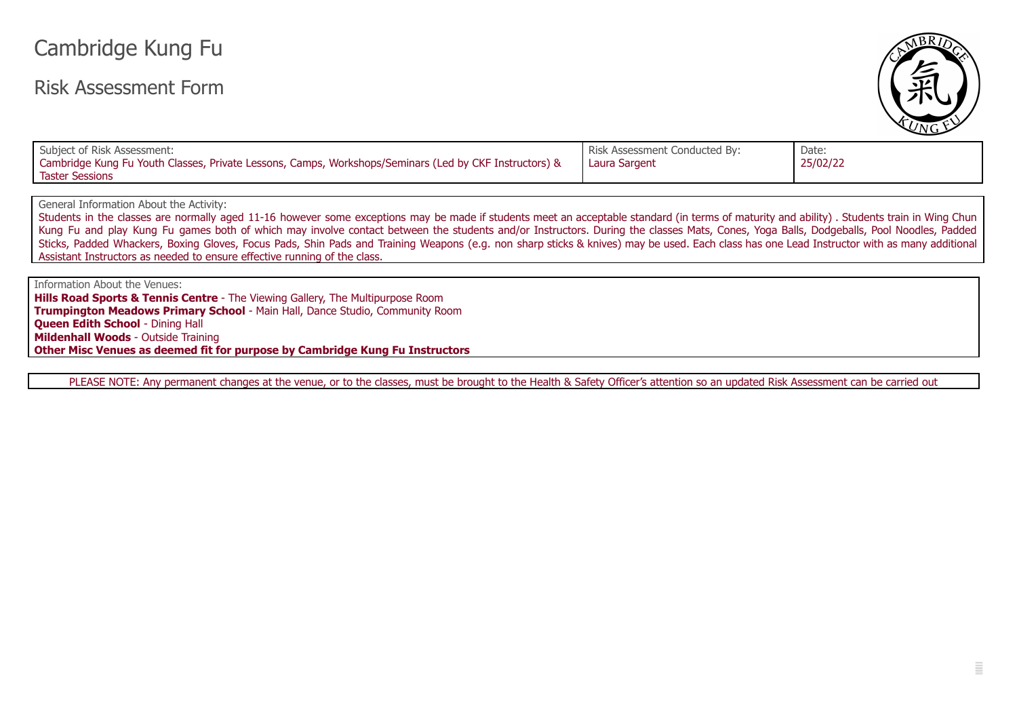## Cambridge Kung Fu

## Risk Assessment Form



| Subject of Risk Assessment:                                                                            | Risk Assessment Conducted By: | Date:    |
|--------------------------------------------------------------------------------------------------------|-------------------------------|----------|
| Cambridge Kung Fu Youth Classes, Private Lessons, Camps, Workshops/Seminars (Led by CKF Instructors) & | Laura Sargent                 | 25/02/22 |
| <b>Taster Sessions</b>                                                                                 |                               |          |

General Information About the Activity:

Students in the classes are normally aged 11-16 however some exceptions may be made if students meet an acceptable standard (in terms of maturity and ability). Students train in Wing Chun Kung Fu and play Kung Fu games both of which may involve contact between the students and/or Instructors. During the classes Mats, Cones, Yoga Balls, Dodgeballs, Pool Noodles, Padded Sticks, Padded Whackers, Boxing Gloves, Focus Pads, Shin Pads and Training Weapons (e.g. non sharp sticks & knives) may be used. Each class has one Lead Instructor with as many additional Assistant Instructors as needed to ensure effective running of the class.

Information About the Venues:

**Hills Road Sports & Tennis Centre** - The Viewing Gallery, The Multipurpose Room **Trumpington Meadows Primary School** - Main Hall, Dance Studio, Community Room **Queen Edith School** - Dining Hall **Mildenhall Woods** - Outside Training **Other Misc Venues as deemed fit for purpose by Cambridge Kung Fu Instructors**

PLEASE NOTE: Any permanent changes at the venue, or to the classes, must be brought to the Health & Safety Officer's attention so an updated Risk Assessment can be carried out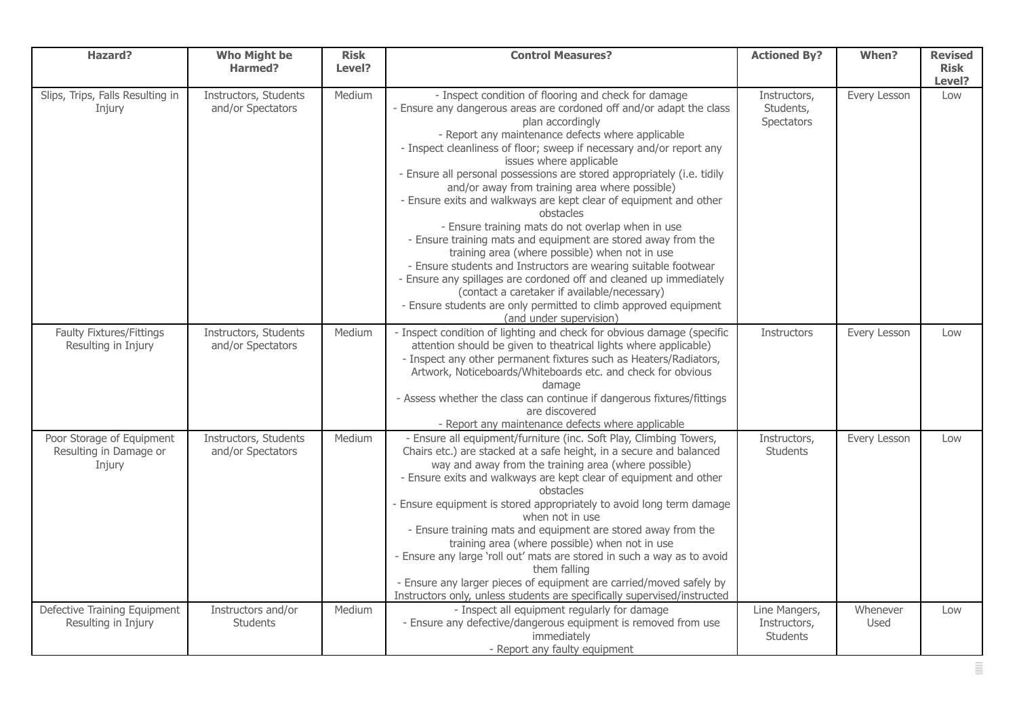| <b>Hazard?</b>                                                | <b>Who Might be</b><br>Harmed?             | <b>Risk</b><br>Level? | <b>Control Measures?</b>                                                                                                                                                                                                                                                                                                                                                                                                                                                                                                                                                                                                                                                                                                                                                                                                                                                                                                                                                                | <b>Actioned By?</b>                              | When?            | <b>Revised</b><br><b>Risk</b> |
|---------------------------------------------------------------|--------------------------------------------|-----------------------|-----------------------------------------------------------------------------------------------------------------------------------------------------------------------------------------------------------------------------------------------------------------------------------------------------------------------------------------------------------------------------------------------------------------------------------------------------------------------------------------------------------------------------------------------------------------------------------------------------------------------------------------------------------------------------------------------------------------------------------------------------------------------------------------------------------------------------------------------------------------------------------------------------------------------------------------------------------------------------------------|--------------------------------------------------|------------------|-------------------------------|
|                                                               |                                            |                       |                                                                                                                                                                                                                                                                                                                                                                                                                                                                                                                                                                                                                                                                                                                                                                                                                                                                                                                                                                                         |                                                  |                  | Level?                        |
| Slips, Trips, Falls Resulting in<br>Injury                    | Instructors, Students<br>and/or Spectators | Medium                | - Inspect condition of flooring and check for damage<br>- Ensure any dangerous areas are cordoned off and/or adapt the class<br>plan accordingly<br>- Report any maintenance defects where applicable<br>- Inspect cleanliness of floor; sweep if necessary and/or report any<br>issues where applicable<br>- Ensure all personal possessions are stored appropriately (i.e. tidily<br>and/or away from training area where possible)<br>- Ensure exits and walkways are kept clear of equipment and other<br>obstacles<br>- Ensure training mats do not overlap when in use<br>- Ensure training mats and equipment are stored away from the<br>training area (where possible) when not in use<br>- Ensure students and Instructors are wearing suitable footwear<br>- Ensure any spillages are cordoned off and cleaned up immediately<br>(contact a caretaker if available/necessary)<br>- Ensure students are only permitted to climb approved equipment<br>(and under supervision) | Instructors,<br>Students,<br>Spectators          | Every Lesson     | Low                           |
| <b>Faulty Fixtures/Fittings</b><br>Resulting in Injury        | Instructors, Students<br>and/or Spectators | Medium                | - Inspect condition of lighting and check for obvious damage (specific<br>attention should be given to theatrical lights where applicable)<br>- Inspect any other permanent fixtures such as Heaters/Radiators,<br>Artwork, Noticeboards/Whiteboards etc. and check for obvious<br>damage<br>- Assess whether the class can continue if dangerous fixtures/fittings<br>are discovered<br>- Report any maintenance defects where applicable                                                                                                                                                                                                                                                                                                                                                                                                                                                                                                                                              | Instructors                                      | Every Lesson     | Low                           |
| Poor Storage of Equipment<br>Resulting in Damage or<br>Injury | Instructors, Students<br>and/or Spectators | Medium                | - Ensure all equipment/furniture (inc. Soft Play, Climbing Towers,<br>Chairs etc.) are stacked at a safe height, in a secure and balanced<br>way and away from the training area (where possible)<br>- Ensure exits and walkways are kept clear of equipment and other<br>obstacles<br>- Ensure equipment is stored appropriately to avoid long term damage<br>when not in use<br>- Ensure training mats and equipment are stored away from the<br>training area (where possible) when not in use<br>- Ensure any large 'roll out' mats are stored in such a way as to avoid<br>them falling<br>- Ensure any larger pieces of equipment are carried/moved safely by<br>Instructors only, unless students are specifically supervised/instructed                                                                                                                                                                                                                                         | Instructors,<br>Students                         | Every Lesson     | Low                           |
| Defective Training Equipment<br>Resulting in Injury           | Instructors and/or<br>Students             | Medium                | - Inspect all equipment regularly for damage<br>- Ensure any defective/dangerous equipment is removed from use<br>immediately<br>- Report any faulty equipment                                                                                                                                                                                                                                                                                                                                                                                                                                                                                                                                                                                                                                                                                                                                                                                                                          | Line Mangers,<br>Instructors,<br><b>Students</b> | Whenever<br>Used | Low                           |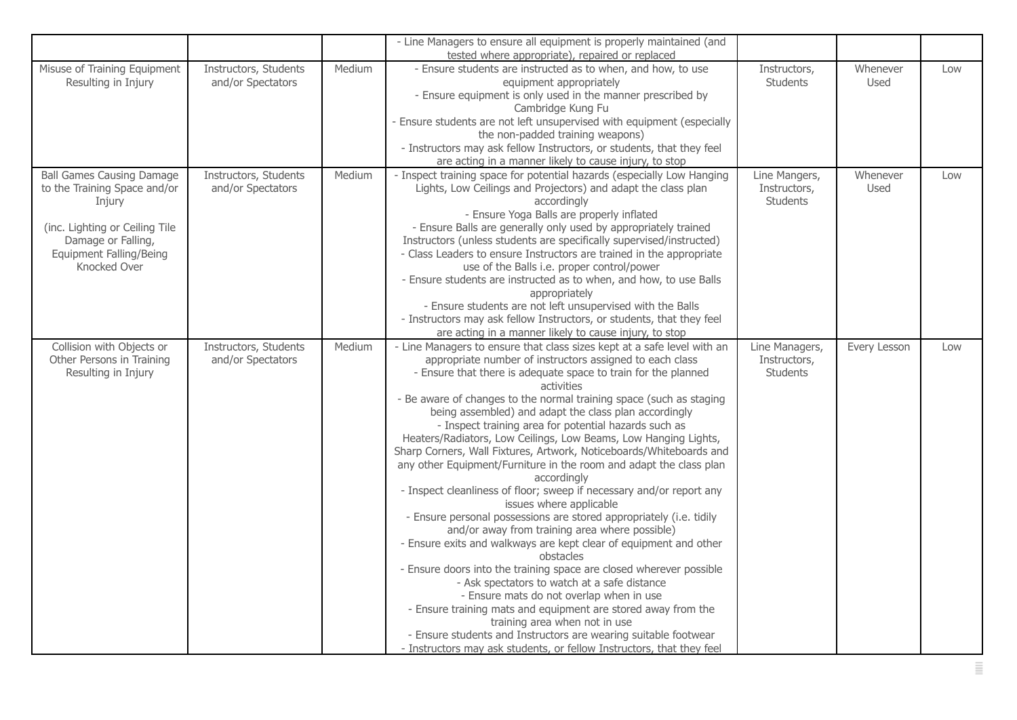|                                                                                                                                                                                      |                                            |        | - Line Managers to ensure all equipment is properly maintained (and                                                                                                                                                                                                                                                                                                                                                                                                                                                                                                                                                                                                                                                                                                                                                                                                                                                                                                                                                                                                                                                                                                                                                                                                                                                                                                        |                                                  |                  |     |
|--------------------------------------------------------------------------------------------------------------------------------------------------------------------------------------|--------------------------------------------|--------|----------------------------------------------------------------------------------------------------------------------------------------------------------------------------------------------------------------------------------------------------------------------------------------------------------------------------------------------------------------------------------------------------------------------------------------------------------------------------------------------------------------------------------------------------------------------------------------------------------------------------------------------------------------------------------------------------------------------------------------------------------------------------------------------------------------------------------------------------------------------------------------------------------------------------------------------------------------------------------------------------------------------------------------------------------------------------------------------------------------------------------------------------------------------------------------------------------------------------------------------------------------------------------------------------------------------------------------------------------------------------|--------------------------------------------------|------------------|-----|
|                                                                                                                                                                                      |                                            |        | tested where appropriate), repaired or replaced                                                                                                                                                                                                                                                                                                                                                                                                                                                                                                                                                                                                                                                                                                                                                                                                                                                                                                                                                                                                                                                                                                                                                                                                                                                                                                                            |                                                  |                  |     |
| Misuse of Training Equipment<br>Resulting in Injury                                                                                                                                  | Instructors, Students<br>and/or Spectators | Medium | - Ensure students are instructed as to when, and how, to use<br>equipment appropriately<br>- Ensure equipment is only used in the manner prescribed by<br>Cambridge Kung Fu<br>- Ensure students are not left unsupervised with equipment (especially<br>the non-padded training weapons)<br>- Instructors may ask fellow Instructors, or students, that they feel<br>are acting in a manner likely to cause injury, to stop                                                                                                                                                                                                                                                                                                                                                                                                                                                                                                                                                                                                                                                                                                                                                                                                                                                                                                                                               | Instructors,<br><b>Students</b>                  | Whenever<br>Used | Low |
| <b>Ball Games Causing Damage</b><br>to the Training Space and/or<br>Injury<br>(inc. Lighting or Ceiling Tile<br>Damage or Falling,<br><b>Equipment Falling/Being</b><br>Knocked Over | Instructors, Students<br>and/or Spectators | Medium | - Inspect training space for potential hazards (especially Low Hanging<br>Lights, Low Ceilings and Projectors) and adapt the class plan<br>accordingly<br>- Ensure Yoga Balls are properly inflated<br>- Ensure Balls are generally only used by appropriately trained<br>Instructors (unless students are specifically supervised/instructed)<br>- Class Leaders to ensure Instructors are trained in the appropriate<br>use of the Balls i.e. proper control/power<br>- Ensure students are instructed as to when, and how, to use Balls<br>appropriately<br>- Ensure students are not left unsupervised with the Balls<br>- Instructors may ask fellow Instructors, or students, that they feel<br>are acting in a manner likely to cause injury, to stop                                                                                                                                                                                                                                                                                                                                                                                                                                                                                                                                                                                                               | Line Mangers,<br>Instructors,<br><b>Students</b> | Whenever<br>Used | Low |
| Collision with Objects or<br>Other Persons in Training<br>Resulting in Injury                                                                                                        | Instructors, Students<br>and/or Spectators | Medium | - Line Managers to ensure that class sizes kept at a safe level with an<br>appropriate number of instructors assigned to each class<br>- Ensure that there is adequate space to train for the planned<br>activities<br>- Be aware of changes to the normal training space (such as staging<br>being assembled) and adapt the class plan accordingly<br>- Inspect training area for potential hazards such as<br>Heaters/Radiators, Low Ceilings, Low Beams, Low Hanging Lights,<br>Sharp Corners, Wall Fixtures, Artwork, Noticeboards/Whiteboards and<br>any other Equipment/Furniture in the room and adapt the class plan<br>accordingly<br>- Inspect cleanliness of floor; sweep if necessary and/or report any<br>issues where applicable<br>- Ensure personal possessions are stored appropriately (i.e. tidily<br>and/or away from training area where possible)<br>- Ensure exits and walkways are kept clear of equipment and other<br>obstacles<br>- Ensure doors into the training space are closed wherever possible<br>- Ask spectators to watch at a safe distance<br>- Ensure mats do not overlap when in use<br>- Ensure training mats and equipment are stored away from the<br>training area when not in use<br>- Ensure students and Instructors are wearing suitable footwear<br>- Instructors may ask students, or fellow Instructors, that they feel | Line Managers,<br>Instructors,<br>Students       | Every Lesson     | Low |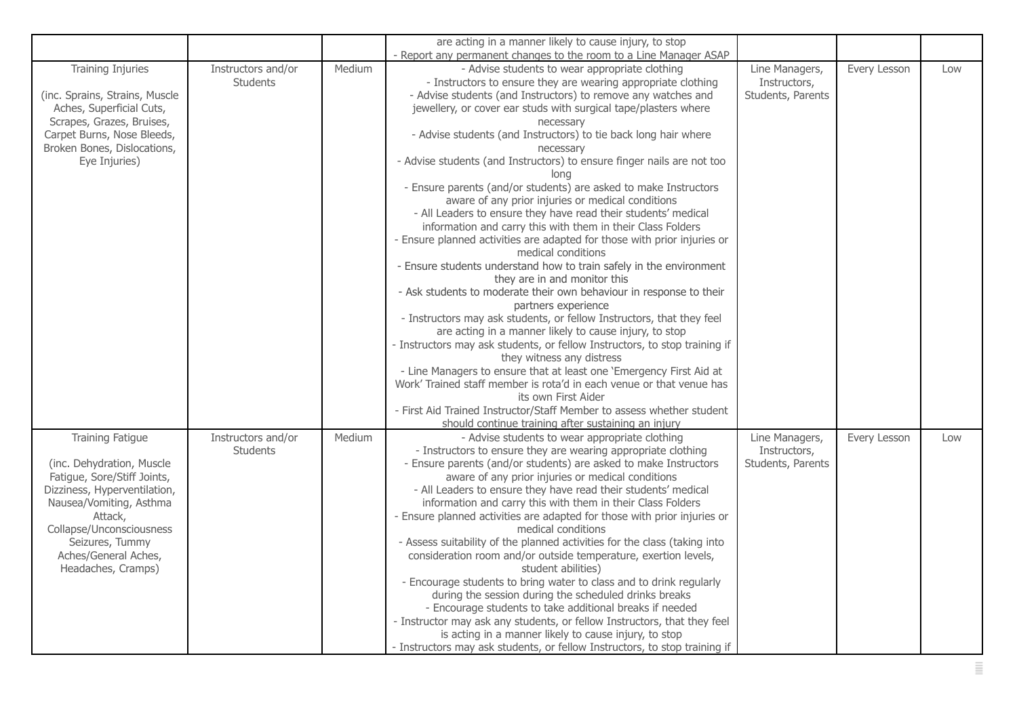|                                                                                                                                                                                                                                                        |                                       |        | are acting in a manner likely to cause injury, to stop                                                                                                                                                                                                                                                                                                                                                                                                                                                                                                                                                                                                                                                                                                                                                                                                                                                                                                                                                                                                                                                                                                                                                                                                                                                                                                                                                                                                                                                                                                                |                                                     |              |     |
|--------------------------------------------------------------------------------------------------------------------------------------------------------------------------------------------------------------------------------------------------------|---------------------------------------|--------|-----------------------------------------------------------------------------------------------------------------------------------------------------------------------------------------------------------------------------------------------------------------------------------------------------------------------------------------------------------------------------------------------------------------------------------------------------------------------------------------------------------------------------------------------------------------------------------------------------------------------------------------------------------------------------------------------------------------------------------------------------------------------------------------------------------------------------------------------------------------------------------------------------------------------------------------------------------------------------------------------------------------------------------------------------------------------------------------------------------------------------------------------------------------------------------------------------------------------------------------------------------------------------------------------------------------------------------------------------------------------------------------------------------------------------------------------------------------------------------------------------------------------------------------------------------------------|-----------------------------------------------------|--------------|-----|
| <b>Training Injuries</b><br>(inc. Sprains, Strains, Muscle<br>Aches, Superficial Cuts,<br>Scrapes, Grazes, Bruises,<br>Carpet Burns, Nose Bleeds,<br>Broken Bones, Dislocations,<br>Eye Injuries)                                                      | Instructors and/or<br><b>Students</b> | Medium | - Report any permanent changes to the room to a Line Manager ASAP<br>- Advise students to wear appropriate clothing<br>- Instructors to ensure they are wearing appropriate clothing<br>- Advise students (and Instructors) to remove any watches and<br>jewellery, or cover ear studs with surgical tape/plasters where<br>necessary<br>- Advise students (and Instructors) to tie back long hair where<br>necessary<br>- Advise students (and Instructors) to ensure finger nails are not too<br>long<br>- Ensure parents (and/or students) are asked to make Instructors<br>aware of any prior injuries or medical conditions<br>- All Leaders to ensure they have read their students' medical<br>information and carry this with them in their Class Folders<br>- Ensure planned activities are adapted for those with prior injuries or<br>medical conditions<br>- Ensure students understand how to train safely in the environment<br>they are in and monitor this<br>- Ask students to moderate their own behaviour in response to their<br>partners experience<br>- Instructors may ask students, or fellow Instructors, that they feel<br>are acting in a manner likely to cause injury, to stop<br>- Instructors may ask students, or fellow Instructors, to stop training if<br>they witness any distress<br>- Line Managers to ensure that at least one 'Emergency First Aid at<br>Work' Trained staff member is rota'd in each venue or that venue has<br>its own First Aider<br>- First Aid Trained Instructor/Staff Member to assess whether student | Line Managers,<br>Instructors,<br>Students, Parents | Every Lesson | Low |
| <b>Training Fatigue</b><br>(inc. Dehydration, Muscle<br>Fatigue, Sore/Stiff Joints,<br>Dizziness, Hyperventilation,<br>Nausea/Vomiting, Asthma<br>Attack,<br>Collapse/Unconsciousness<br>Seizures, Tummy<br>Aches/General Aches,<br>Headaches, Cramps) | Instructors and/or<br><b>Students</b> | Medium | should continue training after sustaining an injury<br>- Advise students to wear appropriate clothing<br>- Instructors to ensure they are wearing appropriate clothing<br>- Ensure parents (and/or students) are asked to make Instructors<br>aware of any prior injuries or medical conditions<br>- All Leaders to ensure they have read their students' medical<br>information and carry this with them in their Class Folders<br>- Ensure planned activities are adapted for those with prior injuries or<br>medical conditions<br>- Assess suitability of the planned activities for the class (taking into<br>consideration room and/or outside temperature, exertion levels,<br>student abilities)<br>- Encourage students to bring water to class and to drink regularly<br>during the session during the scheduled drinks breaks<br>- Encourage students to take additional breaks if needed<br>- Instructor may ask any students, or fellow Instructors, that they feel<br>is acting in a manner likely to cause injury, to stop<br>- Instructors may ask students, or fellow Instructors, to stop training if                                                                                                                                                                                                                                                                                                                                                                                                                                               | Line Managers,<br>Instructors,<br>Students, Parents | Every Lesson | Low |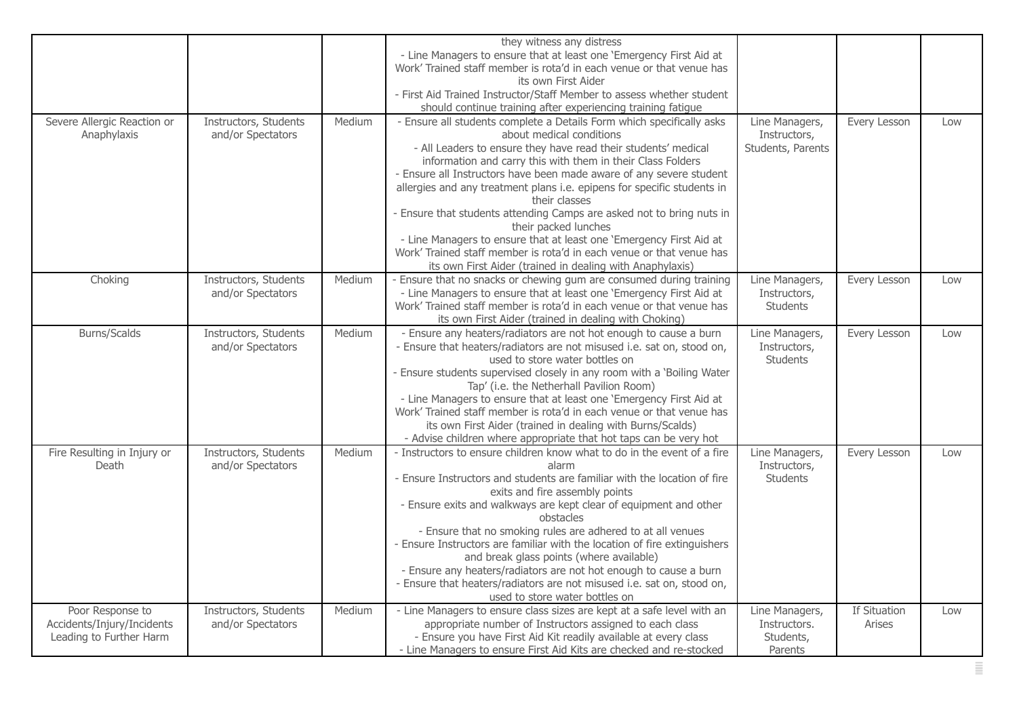|                                                                           |                                            |        | they witness any distress<br>- Line Managers to ensure that at least one 'Emergency First Aid at<br>Work' Trained staff member is rota'd in each venue or that venue has<br>its own First Aider<br>- First Aid Trained Instructor/Staff Member to assess whether student<br>should continue training after experiencing training fatigue                                                                                                                                                                                                                                                                                                                                                                           |                                                        |                        |     |
|---------------------------------------------------------------------------|--------------------------------------------|--------|--------------------------------------------------------------------------------------------------------------------------------------------------------------------------------------------------------------------------------------------------------------------------------------------------------------------------------------------------------------------------------------------------------------------------------------------------------------------------------------------------------------------------------------------------------------------------------------------------------------------------------------------------------------------------------------------------------------------|--------------------------------------------------------|------------------------|-----|
| Severe Allergic Reaction or<br>Anaphylaxis                                | Instructors, Students<br>and/or Spectators | Medium | - Ensure all students complete a Details Form which specifically asks<br>about medical conditions<br>- All Leaders to ensure they have read their students' medical<br>information and carry this with them in their Class Folders<br>- Ensure all Instructors have been made aware of any severe student<br>allergies and any treatment plans i.e. epipens for specific students in<br>their classes<br>- Ensure that students attending Camps are asked not to bring nuts in<br>their packed lunches<br>- Line Managers to ensure that at least one 'Emergency First Aid at<br>Work' Trained staff member is rota'd in each venue or that venue has<br>its own First Aider (trained in dealing with Anaphylaxis) | Line Managers,<br>Instructors,<br>Students, Parents    | Every Lesson           | Low |
| Choking                                                                   | Instructors, Students<br>and/or Spectators | Medium | - Ensure that no snacks or chewing gum are consumed during training<br>- Line Managers to ensure that at least one 'Emergency First Aid at<br>Work' Trained staff member is rota'd in each venue or that venue has<br>its own First Aider (trained in dealing with Choking)                                                                                                                                                                                                                                                                                                                                                                                                                                        | Line Managers,<br>Instructors,<br>Students             | Every Lesson           | Low |
| <b>Burns/Scalds</b>                                                       | Instructors, Students<br>and/or Spectators | Medium | - Ensure any heaters/radiators are not hot enough to cause a burn<br>- Ensure that heaters/radiators are not misused i.e. sat on, stood on,<br>used to store water bottles on<br>- Ensure students supervised closely in any room with a 'Boiling Water<br>Tap' (i.e. the Netherhall Pavilion Room)<br>- Line Managers to ensure that at least one 'Emergency First Aid at<br>Work' Trained staff member is rota'd in each venue or that venue has<br>its own First Aider (trained in dealing with Burns/Scalds)<br>- Advise children where appropriate that hot taps can be very hot                                                                                                                              | Line Managers,<br>Instructors,<br><b>Students</b>      | Every Lesson           | Low |
| Fire Resulting in Injury or<br>Death                                      | Instructors, Students<br>and/or Spectators | Medium | - Instructors to ensure children know what to do in the event of a fire<br>alarm<br>- Ensure Instructors and students are familiar with the location of fire<br>exits and fire assembly points<br>- Ensure exits and walkways are kept clear of equipment and other<br>obstacles<br>- Ensure that no smoking rules are adhered to at all venues<br>- Ensure Instructors are familiar with the location of fire extinguishers<br>and break glass points (where available)<br>- Ensure any heaters/radiators are not hot enough to cause a burn<br>- Ensure that heaters/radiators are not misused i.e. sat on, stood on,<br>used to store water bottles on                                                          | Line Managers,<br>Instructors,<br>Students             | Every Lesson           | Low |
| Poor Response to<br>Accidents/Injury/Incidents<br>Leading to Further Harm | Instructors, Students<br>and/or Spectators | Medium | - Line Managers to ensure class sizes are kept at a safe level with an<br>appropriate number of Instructors assigned to each class<br>- Ensure you have First Aid Kit readily available at every class<br>- Line Managers to ensure First Aid Kits are checked and re-stocked                                                                                                                                                                                                                                                                                                                                                                                                                                      | Line Managers,<br>Instructors.<br>Students,<br>Parents | If Situation<br>Arises | Low |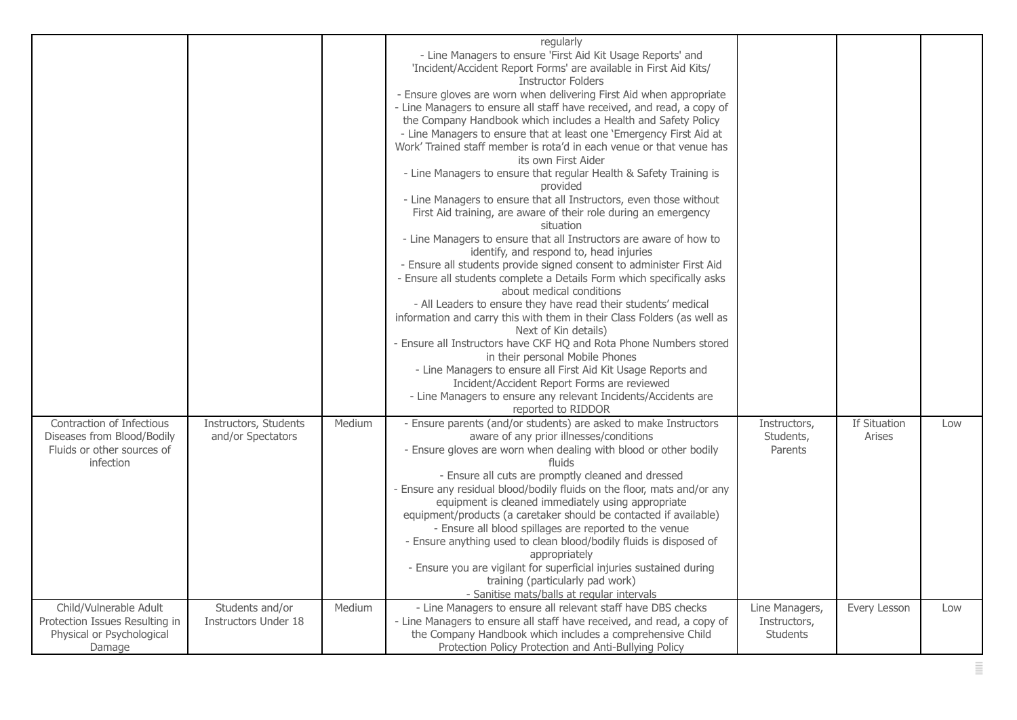|                                                                                                    |                                                |        | regularly<br>- Line Managers to ensure 'First Aid Kit Usage Reports' and<br>'Incident/Accident Report Forms' are available in First Aid Kits/<br><b>Instructor Folders</b><br>- Ensure gloves are worn when delivering First Aid when appropriate<br>- Line Managers to ensure all staff have received, and read, a copy of<br>the Company Handbook which includes a Health and Safety Policy<br>- Line Managers to ensure that at least one 'Emergency First Aid at<br>Work' Trained staff member is rota'd in each venue or that venue has<br>its own First Aider<br>- Line Managers to ensure that regular Health & Safety Training is<br>provided<br>- Line Managers to ensure that all Instructors, even those without<br>First Aid training, are aware of their role during an emergency<br>situation<br>- Line Managers to ensure that all Instructors are aware of how to<br>identify, and respond to, head injuries<br>- Ensure all students provide signed consent to administer First Aid<br>- Ensure all students complete a Details Form which specifically asks<br>about medical conditions<br>- All Leaders to ensure they have read their students' medical<br>information and carry this with them in their Class Folders (as well as<br>Next of Kin details)<br>- Ensure all Instructors have CKF HQ and Rota Phone Numbers stored<br>in their personal Mobile Phones<br>- Line Managers to ensure all First Aid Kit Usage Reports and<br>Incident/Accident Report Forms are reviewed<br>- Line Managers to ensure any relevant Incidents/Accidents are<br>reported to RIDDOR |                                                   |                        |     |
|----------------------------------------------------------------------------------------------------|------------------------------------------------|--------|-------------------------------------------------------------------------------------------------------------------------------------------------------------------------------------------------------------------------------------------------------------------------------------------------------------------------------------------------------------------------------------------------------------------------------------------------------------------------------------------------------------------------------------------------------------------------------------------------------------------------------------------------------------------------------------------------------------------------------------------------------------------------------------------------------------------------------------------------------------------------------------------------------------------------------------------------------------------------------------------------------------------------------------------------------------------------------------------------------------------------------------------------------------------------------------------------------------------------------------------------------------------------------------------------------------------------------------------------------------------------------------------------------------------------------------------------------------------------------------------------------------------------------------------------------------------------------------------------|---------------------------------------------------|------------------------|-----|
| Contraction of Infectious<br>Diseases from Blood/Bodily<br>Fluids or other sources of<br>infection | Instructors, Students<br>and/or Spectators     | Medium | - Ensure parents (and/or students) are asked to make Instructors<br>aware of any prior illnesses/conditions<br>- Ensure gloves are worn when dealing with blood or other bodily<br>fluids<br>- Ensure all cuts are promptly cleaned and dressed<br>- Ensure any residual blood/bodily fluids on the floor, mats and/or any<br>equipment is cleaned immediately using appropriate<br>equipment/products (a caretaker should be contacted if available)<br>- Ensure all blood spillages are reported to the venue<br>- Ensure anything used to clean blood/bodily fluids is disposed of<br>appropriately<br>- Ensure you are vigilant for superficial injuries sustained during<br>training (particularly pad work)<br>- Sanitise mats/balls at regular intervals                                                                                                                                                                                                                                                                                                                                                                                                                                                                                                                                                                                                                                                                                                                                                                                                                                 | Instructors,<br>Students,<br>Parents              | If Situation<br>Arises | Low |
| Child/Vulnerable Adult<br>Protection Issues Resulting in<br>Physical or Psychological<br>Damage    | Students and/or<br><b>Instructors Under 18</b> | Medium | - Line Managers to ensure all relevant staff have DBS checks<br>- Line Managers to ensure all staff have received, and read, a copy of<br>the Company Handbook which includes a comprehensive Child<br>Protection Policy Protection and Anti-Bullying Policy                                                                                                                                                                                                                                                                                                                                                                                                                                                                                                                                                                                                                                                                                                                                                                                                                                                                                                                                                                                                                                                                                                                                                                                                                                                                                                                                    | Line Managers,<br>Instructors,<br><b>Students</b> | Every Lesson           | Low |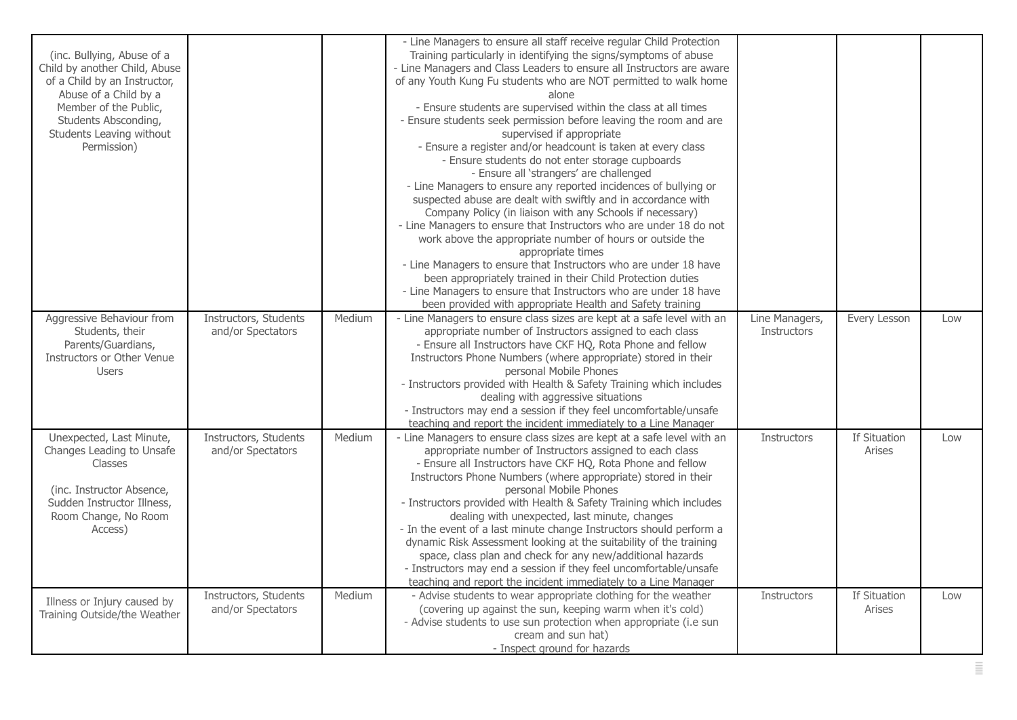| (inc. Bullying, Abuse of a<br>Child by another Child, Abuse<br>of a Child by an Instructor,<br>Abuse of a Child by a<br>Member of the Public,<br>Students Absconding,<br>Students Leaving without<br>Permission) |                                            |        | - Line Managers to ensure all staff receive regular Child Protection<br>Training particularly in identifying the signs/symptoms of abuse<br>- Line Managers and Class Leaders to ensure all Instructors are aware<br>of any Youth Kung Fu students who are NOT permitted to walk home<br>alone<br>- Ensure students are supervised within the class at all times<br>- Ensure students seek permission before leaving the room and are<br>supervised if appropriate<br>- Ensure a register and/or headcount is taken at every class<br>- Ensure students do not enter storage cupboards<br>- Ensure all 'strangers' are challenged<br>- Line Managers to ensure any reported incidences of bullying or<br>suspected abuse are dealt with swiftly and in accordance with<br>Company Policy (in liaison with any Schools if necessary)<br>- Line Managers to ensure that Instructors who are under 18 do not<br>work above the appropriate number of hours or outside the<br>appropriate times<br>- Line Managers to ensure that Instructors who are under 18 have<br>been appropriately trained in their Child Protection duties<br>- Line Managers to ensure that Instructors who are under 18 have<br>been provided with appropriate Health and Safety training |                                      |                               |     |
|------------------------------------------------------------------------------------------------------------------------------------------------------------------------------------------------------------------|--------------------------------------------|--------|-----------------------------------------------------------------------------------------------------------------------------------------------------------------------------------------------------------------------------------------------------------------------------------------------------------------------------------------------------------------------------------------------------------------------------------------------------------------------------------------------------------------------------------------------------------------------------------------------------------------------------------------------------------------------------------------------------------------------------------------------------------------------------------------------------------------------------------------------------------------------------------------------------------------------------------------------------------------------------------------------------------------------------------------------------------------------------------------------------------------------------------------------------------------------------------------------------------------------------------------------------------------|--------------------------------------|-------------------------------|-----|
| Aggressive Behaviour from<br>Students, their<br>Parents/Guardians,<br>Instructors or Other Venue<br><b>Users</b>                                                                                                 | Instructors, Students<br>and/or Spectators | Medium | - Line Managers to ensure class sizes are kept at a safe level with an<br>appropriate number of Instructors assigned to each class<br>- Ensure all Instructors have CKF HQ, Rota Phone and fellow<br>Instructors Phone Numbers (where appropriate) stored in their<br>personal Mobile Phones<br>- Instructors provided with Health & Safety Training which includes<br>dealing with aggressive situations<br>- Instructors may end a session if they feel uncomfortable/unsafe<br>teaching and report the incident immediately to a Line Manager                                                                                                                                                                                                                                                                                                                                                                                                                                                                                                                                                                                                                                                                                                                | Line Managers,<br><b>Instructors</b> | Every Lesson                  | Low |
| Unexpected, Last Minute,<br>Changes Leading to Unsafe<br><b>Classes</b><br>(inc. Instructor Absence,<br>Sudden Instructor Illness,<br>Room Change, No Room<br>Access)                                            | Instructors, Students<br>and/or Spectators | Medium | - Line Managers to ensure class sizes are kept at a safe level with an<br>appropriate number of Instructors assigned to each class<br>- Ensure all Instructors have CKF HQ, Rota Phone and fellow<br>Instructors Phone Numbers (where appropriate) stored in their<br>personal Mobile Phones<br>- Instructors provided with Health & Safety Training which includes<br>dealing with unexpected, last minute, changes<br>- In the event of a last minute change Instructors should perform a<br>dynamic Risk Assessment looking at the suitability of the training<br>space, class plan and check for any new/additional hazards<br>- Instructors may end a session if they feel uncomfortable/unsafe<br>teaching and report the incident immediately to a Line Manager                                                                                                                                                                                                                                                                                                                                                                                                                                                                                          | <b>Instructors</b>                   | If Situation<br><b>Arises</b> | Low |
| Illness or Injury caused by<br>Training Outside/the Weather                                                                                                                                                      | Instructors, Students<br>and/or Spectators | Medium | - Advise students to wear appropriate clothing for the weather<br>(covering up against the sun, keeping warm when it's cold)<br>- Advise students to use sun protection when appropriate (i.e sun<br>cream and sun hat)<br>- Inspect ground for hazards                                                                                                                                                                                                                                                                                                                                                                                                                                                                                                                                                                                                                                                                                                                                                                                                                                                                                                                                                                                                         | <b>Instructors</b>                   | If Situation<br>Arises        | Low |